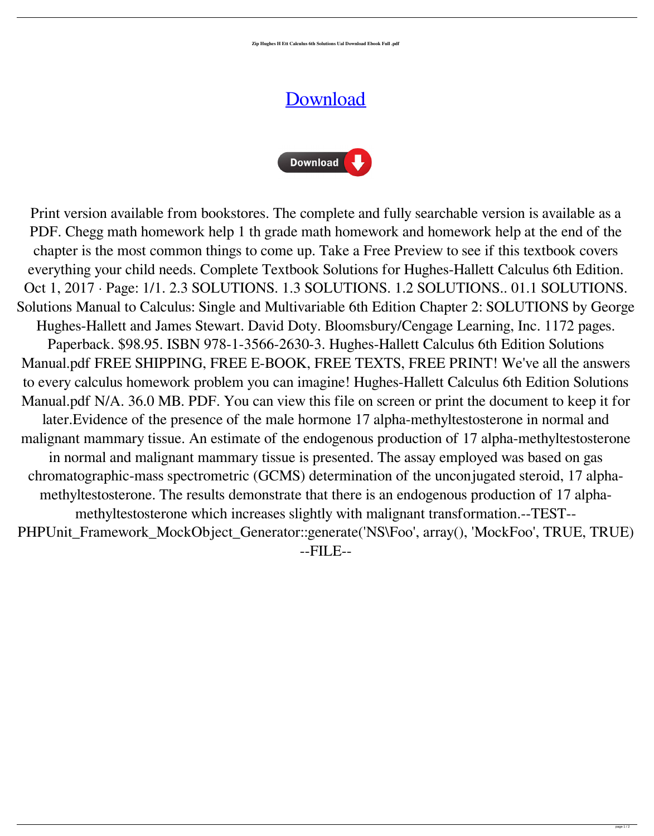**Zip Hughes H Ett Calculus 6th Solutions Ual Download Ebook Full .pdf**

## **[Download](http://evacdir.com/SHVnaGVzIEhhbGxldHQgQ2FsY3VsdXMgNnRoIEVkaXRpb24gU29sdXRpb25zIE1hbnVhbC5wZGYSHV/boyars/ZG93bmxvYWR8UmU4WldOaGZId3hOalV5TnpRd09EWTJmSHd5TlRjMGZId29UU2tnY21WaFpDMWliRzluSUZ0R1lYTjBJRWRGVGww/bronchick/buzzles/esthetics.mockumentary.mussel.ginguettes)**



Print version available from bookstores. The complete and fully searchable version is available as a PDF. Chegg math homework help 1 th grade math homework and homework help at the end of the chapter is the most common things to come up. Take a Free Preview to see if this textbook covers everything your child needs. Complete Textbook Solutions for Hughes-Hallett Calculus 6th Edition. Oct 1, 2017 · Page: 1/1. 2.3 SOLUTIONS. 1.3 SOLUTIONS. 1.2 SOLUTIONS.. 01.1 SOLUTIONS. Solutions Manual to Calculus: Single and Multivariable 6th Edition Chapter 2: SOLUTIONS by George Hughes-Hallett and James Stewart. David Doty. Bloomsbury/Cengage Learning, Inc. 1172 pages. Paperback. \$98.95. ISBN 978-1-3566-2630-3. Hughes-Hallett Calculus 6th Edition Solutions Manual.pdf FREE SHIPPING, FREE E-BOOK, FREE TEXTS, FREE PRINT! We've all the answers to every calculus homework problem you can imagine! Hughes-Hallett Calculus 6th Edition Solutions Manual.pdf N/A. 36.0 MB. PDF. You can view this file on screen or print the document to keep it for later.Evidence of the presence of the male hormone 17 alpha-methyltestosterone in normal and malignant mammary tissue. An estimate of the endogenous production of 17 alpha-methyltestosterone in normal and malignant mammary tissue is presented. The assay employed was based on gas chromatographic-mass spectrometric (GCMS) determination of the unconjugated steroid, 17 alphamethyltestosterone. The results demonstrate that there is an endogenous production of 17 alphamethyltestosterone which increases slightly with malignant transformation.--TEST-- PHPUnit\_Framework\_MockObject\_Generator::generate('NS\Foo', array(), 'MockFoo', TRUE, TRUE) --FILE--